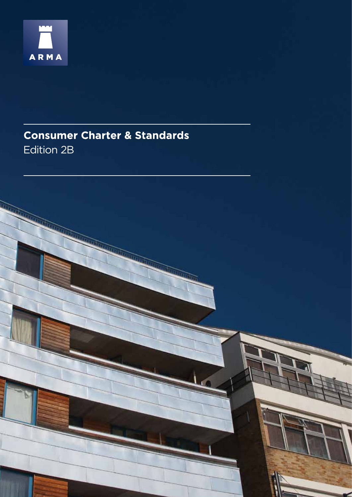

# **Consumer Charter & Standards** Edition 2B

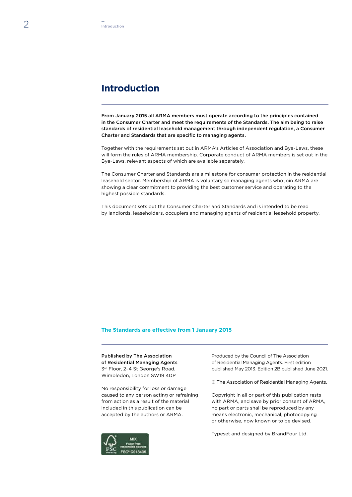# **Introduction**

From January 2015 all ARMA members must operate according to the principles contained in the Consumer Charter and meet the requirements of the Standards. The aim being to raise standards of residential leasehold management through independent regulation, a Consumer Charter and Standards that are specific to managing agents.

Together with the requirements set out in ARMA's Articles of Association and Bye-Laws, these will form the rules of ARMA membership. Corporate conduct of ARMA members is set out in the Bye-Laws, relevant aspects of which are available separately.

The Consumer Charter and Standards are a milestone for consumer protection in the residential leasehold sector. Membership of ARMA is voluntary so managing agents who join ARMA are showing a clear commitment to providing the best customer service and operating to the highest possible standards.

This document sets out the Consumer Charter and Standards and is intended to be read by landlords, leaseholders, occupiers and managing agents of residential leasehold property.

## **The Standards are effective from 1 January 2015**

Published by The Association of Residential Managing Agents 3rd Floor, 2–4 St George's Road, Wimbledon, London SW19 4DP

No responsibility for loss or damage caused to any person acting or refraining from action as a result of the material included in this publication can be accepted by the authors or ARMA.



Produced by the Council of The Association of Residential Managing Agents. First edition published May 2013. Edition 2B published June 2021.

© The Association of Residential Managing Agents.

Copyright in all or part of this publication rests with ARMA, and save by prior consent of ARMA, no part or parts shall be reproduced by any means electronic, mechanical, photocopying or otherwise, now known or to be devised.

Typeset and designed by BrandFour Ltd.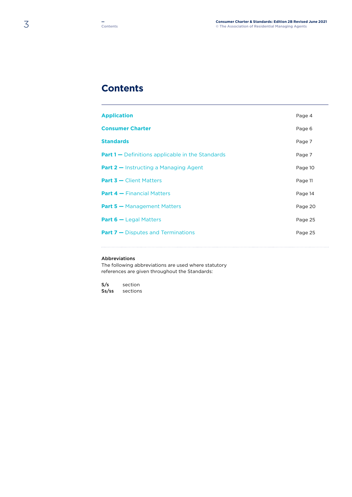# **Contents**

| <b>Application</b>                                      | Page 4  |
|---------------------------------------------------------|---------|
| <b>Consumer Charter</b>                                 | Page 6  |
| <b>Standards</b>                                        | Page 7  |
| <b>Part 1 –</b> Definitions applicable in the Standards | Page 7  |
| <b>Part 2 – Instructing a Managing Agent</b>            | Page 10 |
| <b>Part 3 - Client Matters</b>                          | Page 11 |
| <b>Part 4 - Financial Matters</b>                       | Page 14 |
| <b>Part 5 - Management Matters</b>                      | Page 20 |
| <b>Part 6 –</b> Legal Matters                           | Page 25 |
| <b>Part 7 - Disputes and Terminations</b>               | Page 25 |
|                                                         |         |

## Abbreviations

The following abbreviations are used where statutory references are given throughout the Standards:

S/s section Ss/ss sections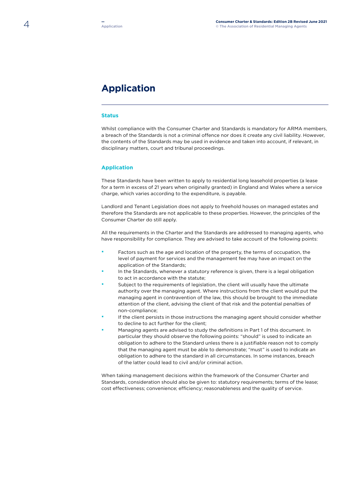# **Application**

## **Status**

Whilst compliance with the Consumer Charter and Standards is mandatory for ARMA members, a breach of the Standards is not a criminal offence nor does it create any civil liability. However, the contents of the Standards may be used in evidence and taken into account, if relevant, in disciplinary matters, court and tribunal proceedings.

## **Application**

These Standards have been written to apply to residential long leasehold properties (a lease for a term in excess of 21 years when originally granted) in England and Wales where a service charge, which varies according to the expenditure, is payable.

Landlord and Tenant Legislation does not apply to freehold houses on managed estates and therefore the Standards are not applicable to these properties. However, the principles of the Consumer Charter do still apply.

All the requirements in the Charter and the Standards are addressed to managing agents, who have responsibility for compliance. They are advised to take account of the following points:

- **·** Factors such as the age and location of the property, the terms of occupation, the level of payment for services and the management fee may have an impact on the application of the Standards;
- **·** In the Standards, whenever a statutory reference is given, there is a legal obligation to act in accordance with the statute;
- **·** Subject to the requirements of legislation, the client will usually have the ultimate authority over the managing agent. Where instructions from the client would put the managing agent in contravention of the law, this should be brought to the immediate attention of the client, advising the client of that risk and the potential penalties of non-compliance;
- **·** If the client persists in those instructions the managing agent should consider whether to decline to act further for the client;
- **·** Managing agents are advised to study the definitions in Part 1 of this document. In particular they should observe the following points: "should" is used to indicate an obligation to adhere to the Standard unless there is a justifiable reason not to comply that the managing agent must be able to demonstrate; "must" is used to indicate an obligation to adhere to the standard in all circumstances. In some instances, breach of the latter could lead to civil and/or criminal action.

When taking management decisions within the framework of the Consumer Charter and Standards, consideration should also be given to: statutory requirements; terms of the lease; cost effectiveness; convenience; efficiency; reasonableness and the quality of service.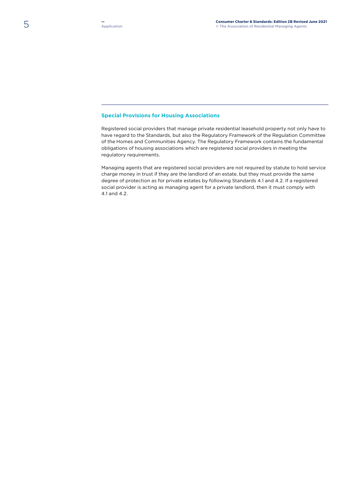## **Special Provisions for Housing Associations**

Registered social providers that manage private residential leasehold property not only have to have regard to the Standards, but also the Regulatory Framework of the Regulation Committee of the Homes and Communities Agency. The Regulatory Framework contains the fundamental obligations of housing associations which are registered social providers in meeting the regulatory requirements.

Managing agents that are registered social providers are not required by statute to hold service charge money in trust if they are the landlord of an estate, but they must provide the same degree of protection as for private estates by following Standards 4.1 and 4.2. If a registered social provider is acting as managing agent for a private landlord, then it must comply with 4.1 and 4.2.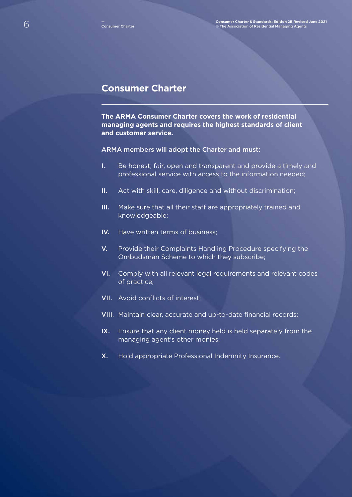## **Consumer Charter**

**The ARMA Consumer Charter covers the work of residential managing agents and requires the highest standards of client and customer service.**

## ARMA members will adopt the Charter and must:

- I. Be honest, fair, open and transparent and provide a timely and professional service with access to the information needed;
- II. Act with skill, care, diligence and without discrimination;
- III. Make sure that all their staff are appropriately trained and knowledgeable;
- IV. Have written terms of business;
- V. Provide their Complaints Handling Procedure specifying the Ombudsman Scheme to which they subscribe;
- VI. Comply with all relevant legal requirements and relevant codes of practice;
- VII. Avoid conflicts of interest;
- VIII. Maintain clear, accurate and up-to-date financial records;
- IX. Ensure that any client money held is held separately from the managing agent's other monies;
- X. Hold appropriate Professional Indemnity Insurance.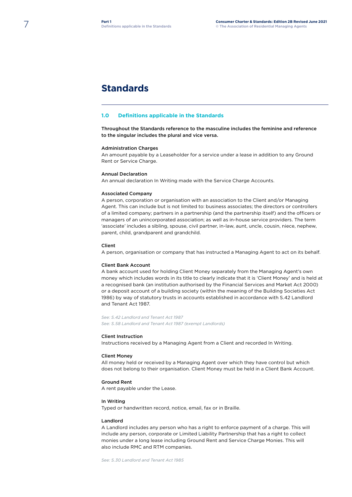# **Standards**

#### **1.0 Definitions applicable in the Standards**

Throughout the Standards reference to the masculine includes the feminine and reference to the singular includes the plural and vice versa.

#### Administration Charges

An amount payable by a Leaseholder for a service under a lease in addition to any Ground Rent or Service Charge.

#### Annual Declaration

An annual declaration In Writing made with the Service Charge Accounts.

#### Associated Company

A person, corporation or organisation with an association to the Client and/or Managing Agent. This can include but is not limited to: business associates; the directors or controllers of a limited company; partners in a partnership (and the partnership itself) and the officers or managers of an unincorporated association; as well as in-house service providers. The term 'associate' includes a sibling, spouse, civil partner, in-law, aunt, uncle, cousin, niece, nephew, parent, child, grandparent and grandchild.

#### Client

A person, organisation or company that has instructed a Managing Agent to act on its behalf.

#### Client Bank Account

A bank account used for holding Client Money separately from the Managing Agent's own money which includes words in its title to clearly indicate that it is 'Client Money' and is held at a recognised bank (an institution authorised by the Financial Services and Market Act 2000) or a deposit account of a building society (within the meaning of the Building Societies Act 1986) by way of statutory trusts in accounts established in accordance with S.42 Landlord and Tenant Act 1987.

*See: S.42 Landlord and Tenant Act 1987 See: S.58 Landlord and Tenant Act 1987 (exempt Landlords)*

#### Client Instruction

Instructions received by a Managing Agent from a Client and recorded In Writing.

#### Client Money

All money held or received by a Managing Agent over which they have control but which does not belong to their organisation. Client Money must be held in a Client Bank Account.

#### Ground Rent

A rent payable under the Lease.

#### In Writing

Typed or handwritten record, notice, email, fax or in Braille.

#### Landlord

A Landlord includes any person who has a right to enforce payment of a charge. This will include any person, corporate or Limited Liability Partnership that has a right to collect monies under a long lease including Ground Rent and Service Charge Monies. This will also include RMC and RTM companies.

*See: S.30 Landlord and Tenant Act 1985*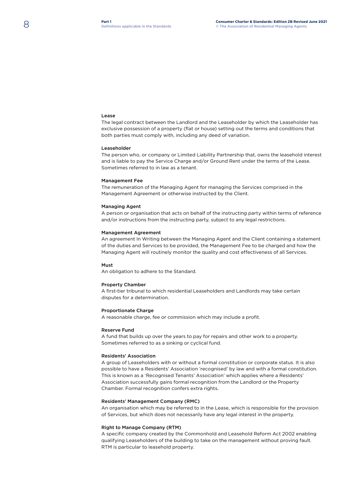#### Lease

The legal contract between the Landlord and the Leaseholder by which the Leaseholder has exclusive possession of a property (flat or house) setting out the terms and conditions that both parties must comply with, including any deed of variation.

#### Leaseholder

The person who, or company or Limited Liability Partnership that, owns the leasehold interest and is liable to pay the Service Charge and/or Ground Rent under the terms of the Lease. Sometimes referred to in law as a tenant.

#### Management Fee

The remuneration of the Managing Agent for managing the Services comprised in the Management Agreement or otherwise instructed by the Client.

#### Managing Agent

A person or organisation that acts on behalf of the instructing party within terms of reference and/or instructions from the instructing party, subject to any legal restrictions.

#### Management Agreement

An agreement In Writing between the Managing Agent and the Client containing a statement of the duties and Services to be provided, the Management Fee to be charged and how the Managing Agent will routinely monitor the quality and cost effectiveness of all Services.

#### Must

An obligation to adhere to the Standard.

#### Property Chamber

A first-tier tribunal to which residential Leaseholders and Landlords may take certain disputes for a determination.

#### Proportionate Charge

A reasonable charge, fee or commission which may include a profit.

#### Reserve Fund

A fund that builds up over the years to pay for repairs and other work to a property. Sometimes referred to as a sinking or cyclical fund.

#### Residents' Association

A group of Leaseholders with or without a formal constitution or corporate status. It is also possible to have a Residents' Association 'recognised' by law and with a formal constitution. This is known as a 'Recognised Tenants' Association' which applies where a Residents' Association successfully gains formal recognition from the Landlord or the Property Chamber. Formal recognition confers extra rights.

#### Residents' Management Company (RMC)

An organisation which may be referred to in the Lease, which is responsible for the provision of Services, but which does not necessarily have any legal interest in the property.

#### Right to Manage Company (RTM)

A specific company created by the Commonhold and Leasehold Reform Act 2002 enabling qualifying Leaseholders of the building to take on the management without proving fault. RTM is particular to leasehold property.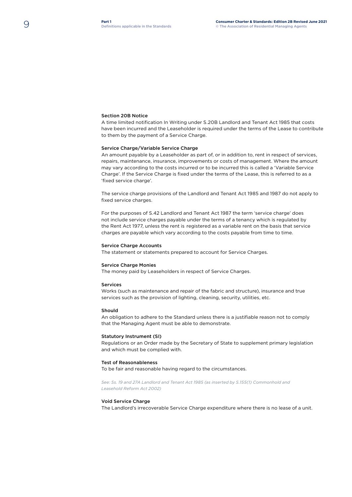#### Section 20B Notice

A time limited notification In Writing under S.20B Landlord and Tenant Act 1985 that costs have been incurred and the Leaseholder is required under the terms of the Lease to contribute to them by the payment of a Service Charge.

#### Service Charge/Variable Service Charge

An amount payable by a Leaseholder as part of, or in addition to, rent in respect of services, repairs, maintenance, insurance, improvements or costs of management. Where the amount may vary according to the costs incurred or to be incurred this is called a 'Variable Service Charge'. If the Service Charge is fixed under the terms of the Lease, this is referred to as a 'fixed service charge'.

The service charge provisions of the Landlord and Tenant Act 1985 and 1987 do not apply to fixed service charges.

For the purposes of S.42 Landlord and Tenant Act 1987 the term 'service charge' does not include service charges payable under the terms of a tenancy which is regulated by the Rent Act 1977, unless the rent is registered as a variable rent on the basis that service charges are payable which vary according to the costs payable from time to time.

#### Service Charge Accounts

The statement or statements prepared to account for Service Charges.

#### Service Charge Monies

The money paid by Leaseholders in respect of Service Charges.

#### Services

Works (such as maintenance and repair of the fabric and structure), insurance and true services such as the provision of lighting, cleaning, security, utilities, etc.

#### Should

An obligation to adhere to the Standard unless there is a justifiable reason not to comply that the Managing Agent must be able to demonstrate.

#### Statutory Instrument (SI)

Regulations or an Order made by the Secretary of State to supplement primary legislation and which must be complied with.

#### Test of Reasonableness

To be fair and reasonable having regard to the circumstances.

*See: Ss. 19 and 27A Landlord and Tenant Act 1985 (as inserted by S.155(1) Commonhold and Leasehold Reform Act 2002)*

#### Void Service Charge

The Landlord's irrecoverable Service Charge expenditure where there is no lease of a unit.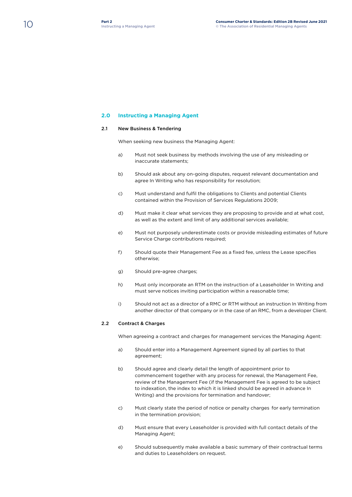## **2.0 Instructing a Managing Agent**

## 2.1 New Business & Tendering

When seeking new business the Managing Agent:

- a) Must not seek business by methods involving the use of any misleading or inaccurate statements;
- b) Should ask about any on-going disputes, request relevant documentation and agree In Writing who has responsibility for resolution;
- c) Must understand and fulfil the obligations to Clients and potential Clients contained within the Provision of Services Regulations 2009;
- d) Must make it clear what services they are proposing to provide and at what cost, as well as the extent and limit of any additional services available;
- e) Must not purposely underestimate costs or provide misleading estimates of future Service Charge contributions required;
- f) Should quote their Management Fee as a fixed fee, unless the Lease specifies otherwise;
- g) Should pre-agree charges;
- h) Must only incorporate an RTM on the instruction of a Leaseholder In Writing and must serve notices inviting participation within a reasonable time;
- i) Should not act as a director of a RMC or RTM without an instruction In Writing from another director of that company or in the case of an RMC, from a developer Client.

## 2.2 Contract & Charges

When agreeing a contract and charges for management services the Managing Agent:

- a) Should enter into a Management Agreement signed by all parties to that agreement;
- b) Should agree and clearly detail the length of appointment prior to commencement together with any process for renewal, the Management Fee, review of the Management Fee (if the Management Fee is agreed to be subject to indexation, the index to which it is linked should be agreed in advance In Writing) and the provisions for termination and handover;
- c) Must clearly state the period of notice or penalty charges for early termination in the termination provision;
- d) Must ensure that every Leaseholder is provided with full contact details of the Managing Agent;
- e) Should subsequently make available a basic summary of their contractual terms and duties to Leaseholders on request.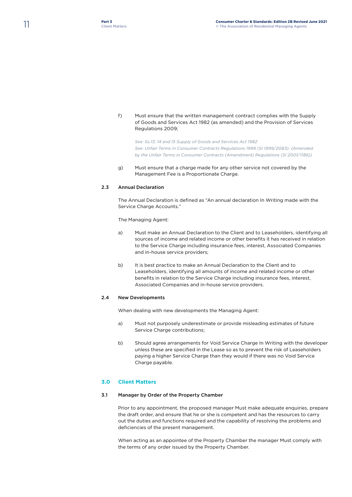f) Must ensure that the written management contract complies with the Supply of Goods and Services Act 1982 (as amended) and the Provision of Services Regulations 2009;

*See: Ss.13, 14 and 15 Supply of Goods and Services Act 1982 See: Unfair Terms in Consumer Contracts Regulations 1999 (SI 1999/2083). (Amended by the Unfair Terms in Consumer Contracts (Amendment) Regulations (SI 2001/1186))*

g) Must ensure that a charge made for any other service not covered by the Management Fee is a Proportionate Charge.

## 2.3 Annual Declaration

The Annual Declaration is defined as "An annual declaration In Writing made with the Service Charge Accounts."

The Managing Agent:

- a) Must make an Annual Declaration to the Client and to Leaseholders, identifying all sources of income and related income or other benefits it has received in relation to the Service Charge including insurance fees, interest, Associated Companies and in-house service providers;
- b) It is best practice to make an Annual Declaration to the Client and to Leaseholders, identifying all amounts of income and related income or other benefits in relation to the Service Charge including insurance fees, interest, Associated Companies and in-house service providers.

## 2.4 New Developments

When dealing with new developments the Managing Agent:

- a) Must not purposely underestimate or provide misleading estimates of future Service Charge contributions;
- b) Should agree arrangements for Void Service Charge In Writing with the developer unless these are specified in the Lease so as to prevent the risk of Leaseholders paying a higher Service Charge than they would if there was no Void Service Charge payable.

## **3.0 Client Matters**

## 3.1 Manager by Order of the Property Chamber

Prior to any appointment, the proposed manager Must make adequate enquiries, prepare the draft order, and ensure that he or she is competent and has the resources to carry out the duties and functions required and the capability of resolving the problems and deficiencies of the present management.

When acting as an appointee of the Property Chamber the manager Must comply with the terms of any order issued by the Property Chamber.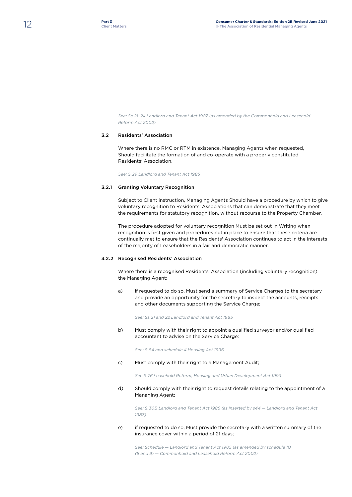*See: Ss.21–24 Landlord and Tenant Act 1987 (as amended by the Commonhold and Leasehold Reform Act 2002)*

## 3.2 Residents' Association

Where there is no RMC or RTM in existence, Managing Agents when requested, Should facilitate the formation of and co-operate with a properly constituted Residents' Association.

*See: S.29 Landlord and Tenant Act 1985*

## 3.2.1 Granting Voluntary Recognition

Subject to Client instruction, Managing Agents Should have a procedure by which to give voluntary recognition to Residents' Associations that can demonstrate that they meet the requirements for statutory recognition, without recourse to the Property Chamber.

The procedure adopted for voluntary recognition Must be set out In Writing when recognition is first given and procedures put in place to ensure that these criteria are continually met to ensure that the Residents' Association continues to act in the interests of the majority of Leaseholders in a fair and democratic manner.

## 3.2.2 Recognised Residents' Association

Where there is a recognised Residents' Association (including voluntary recognition) the Managing Agent:

a) if requested to do so, Must send a summary of Service Charges to the secretary and provide an opportunity for the secretary to inspect the accounts, receipts and other documents supporting the Service Charge;

*See: Ss.21 and 22 Landlord and Tenant Act 1985* 

b) Must comply with their right to appoint a qualified surveyor and/or qualified accountant to advise on the Service Charge:

*See: S.84 and schedule 4 Housing Act 1996*

c) Must comply with their right to a Management Audit;

*See S.76 Leasehold Reform, Housing and Urban Development Act 1993*

d) Should comply with their right to request details relating to the appointment of a Managing Agent;

*See: S.30B Landlord and Tenant Act 1985 (as inserted by s44 — Landlord and Tenant Act 1987)*

## e) if requested to do so, Must provide the secretary with a written summary of the insurance cover within a period of 21 days;

*See: Schedule — Landlord and Tenant Act 1985 (as amended by schedule 10 (8 and 9) — Commonhold and Leasehold Reform Act 2002)*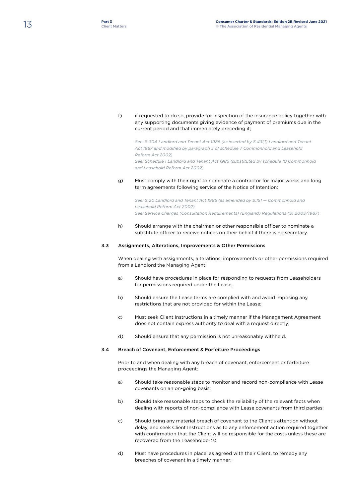f) if requested to do so, provide for inspection of the insurance policy together with any supporting documents giving evidence of payment of premiums due in the current period and that immediately preceding it;

*See: S.30A Landlord and Tenant Act 1985 (as inserted by S.43(1) Landlord and Tenant Act 1987 and modified by paragraph 5 of schedule 7 Commonhold and Leasehold Reform Act 2002) See: Schedule 1 Landlord and Tenant Act 1985 (substituted by schedule 10 Commonhold and Leasehold Reform Act 2002)*

g) Must comply with their right to nominate a contractor for major works and long term agreements following service of the Notice of Intention;

*See: S.20 Landlord and Tenant Act 1985 (as amended by S.151 — Commonhold and Leasehold Reform Act 2002) See: Service Charges (Consultation Requirements) (England) Regulations (S1 2003/1987)*

h) Should arrange with the chairman or other responsible officer to nominate a substitute officer to receive notices on their behalf if there is no secretary.

## 3.3 Assignments, Alterations, Improvements & Other Permissions

When dealing with assignments, alterations, improvements or other permissions required from a Landlord the Managing Agent:

- a) Should have procedures in place for responding to requests from Leaseholders for permissions required under the Lease;
- b) Should ensure the Lease terms are complied with and avoid imposing any restrictions that are not provided for within the Lease;
- c) Must seek Client Instructions in a timely manner if the Management Agreement does not contain express authority to deal with a request directly;
- d) Should ensure that any permission is not unreasonably withheld.

## 3.4 Breach of Covenant, Enforcement & Forfeiture Proceedings

Prior to and when dealing with any breach of covenant, enforcement or forfeiture proceedings the Managing Agent:

- a) Should take reasonable steps to monitor and record non-compliance with Lease covenants on an on-going basis;
- b) Should take reasonable steps to check the reliability of the relevant facts when dealing with reports of non-compliance with Lease covenants from third parties;
- c) Should bring any material breach of covenant to the Client's attention without delay, and seek Client Instructions as to any enforcement action required together with confirmation that the Client will be responsible for the costs unless these are recovered from the Leaseholder(s);
- d) Must have procedures in place, as agreed with their Client, to remedy any breaches of covenant in a timely manner;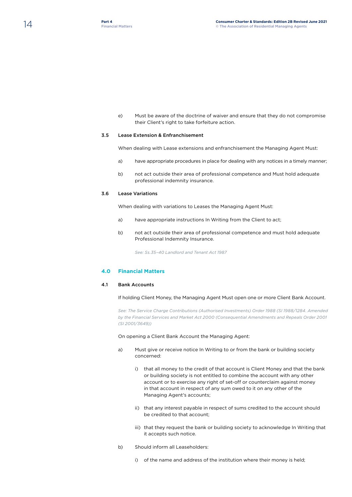e) Must be aware of the doctrine of waiver and ensure that they do not compromise their Client's right to take forfeiture action.

## 3.5 Lease Extension & Enfranchisement

When dealing with Lease extensions and enfranchisement the Managing Agent Must:

- a) have appropriate procedures in place for dealing with any notices in a timely manner;
- b) not act outside their area of professional competence and Must hold adequate professional indemnity insurance.

## 3.6 Lease Variations

When dealing with variations to Leases the Managing Agent Must:

- a) have appropriate instructions In Writing from the Client to act;
- b) not act outside their area of professional competence and must hold adequate Professional Indemnity Insurance.

*See: Ss.35–40 Landlord and Tenant Act 1987*

## **4.0 Financial Matters**

## 4.1 Bank Accounts

If holding Client Money, the Managing Agent Must open one or more Client Bank Account.

*See: The Service Charge Contributions (Authorised Investments) Order 1988 (SI 1988/1284. Amended by the Financial Services and Market Act 2000 (Consequential Amendments and Repeals Order 2001 (SI 2001/3649))* 

On opening a Client Bank Account the Managing Agent:

- a) Must give or receive notice In Writing to or from the bank or building society concerned:
	- i) that all money to the credit of that account is Client Money and that the bank or building society is not entitled to combine the account with any other account or to exercise any right of set-off or counterclaim against money in that account in respect of any sum owed to it on any other of the Managing Agent's accounts;
	- ii) that any interest payable in respect of sums credited to the account should be credited to that account;
	- iii) that they request the bank or building society to acknowledge In Writing that it accepts such notice.
- b) Should inform all Leaseholders:
	- i) of the name and address of the institution where their money is held;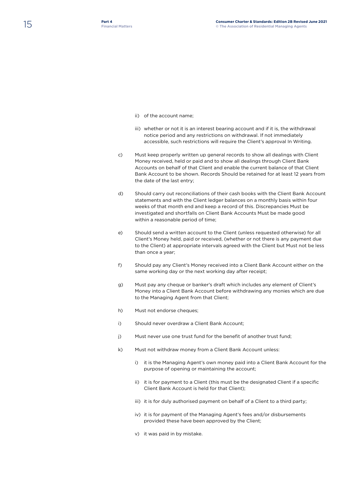- ii) of the account name;
- iii) whether or not it is an interest bearing account and if it is, the withdrawal notice period and any restrictions on withdrawal. If not immediately accessible, such restrictions will require the Client's approval In Writing.
- c) Must keep properly written up general records to show all dealings with Client Money received, held or paid and to show all dealings through Client Bank Accounts on behalf of that Client and enable the current balance of that Client Bank Account to be shown. Records Should be retained for at least 12 years from the date of the last entry;
- d) Should carry out reconciliations of their cash books with the Client Bank Account statements and with the Client ledger balances on a monthly basis within four weeks of that month end and keep a record of this. Discrepancies Must be investigated and shortfalls on Client Bank Accounts Must be made good within a reasonable period of time;
- e) Should send a written account to the Client (unless requested otherwise) for all Client's Money held, paid or received, (whether or not there is any payment due to the Client) at appropriate intervals agreed with the Client but Must not be less than once a year;
- f) Should pay any Client's Money received into a Client Bank Account either on the same working day or the next working day after receipt;
- g) Must pay any cheque or banker's draft which includes any element of Client's Money into a Client Bank Account before withdrawing any monies which are due to the Managing Agent from that Client;
- h) Must not endorse cheques:
- i) Should never overdraw a Client Bank Account;
- j) Must never use one trust fund for the benefit of another trust fund;
- k) Must not withdraw money from a Client Bank Account unless:
	- i) it is the Managing Agent's own money paid into a Client Bank Account for the purpose of opening or maintaining the account;
	- ii) it is for payment to a Client (this must be the designated Client if a specific Client Bank Account is held for that Client);
	- iii) it is for duly authorised payment on behalf of a Client to a third party;
	- iv) it is for payment of the Managing Agent's fees and/or disbursements provided these have been approved by the Client;
	- v) it was paid in by mistake.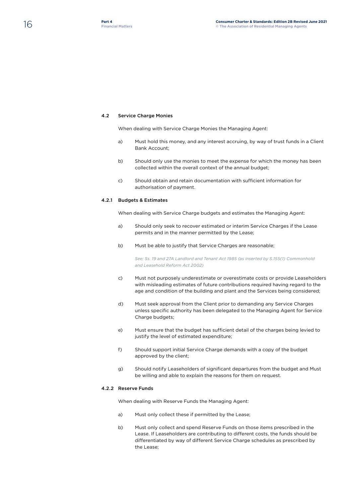## 4.2 Service Charge Monies

When dealing with Service Charge Monies the Managing Agent:

- a) Must hold this money, and any interest accruing, by way of trust funds in a Client Bank Account;
- b) Should only use the monies to meet the expense for which the money has been collected within the overall context of the annual budget;
- c) Should obtain and retain documentation with sufficient information for authorisation of payment.

## 4.2.1 Budgets & Estimates

When dealing with Service Charge budgets and estimates the Managing Agent:

- a) Should only seek to recover estimated or interim Service Charges if the Lease permits and in the manner permitted by the Lease;
- b) Must be able to justify that Service Charges are reasonable;

*See: Ss. 19 and 27A Landlord and Tenant Act 1985 (as inserted by S.155(1) Commonhold and Leasehold Reform Act 2002)*

- c) Must not purposely underestimate or overestimate costs or provide Leaseholders with misleading estimates of future contributions required having regard to the age and condition of the building and plant and the Services being considered;
- d) Must seek approval from the Client prior to demanding any Service Charges unless specific authority has been delegated to the Managing Agent for Service Charge budgets;
- e) Must ensure that the budget has sufficient detail of the charges being levied to justify the level of estimated expenditure;
- f) Should support initial Service Charge demands with a copy of the budget approved by the client;
- g) Should notify Leaseholders of significant departures from the budget and Must be willing and able to explain the reasons for them on request.

## 4.2.2 Reserve Funds

When dealing with Reserve Funds the Managing Agent:

- a) Must only collect these if permitted by the Lease;
- b) Must only collect and spend Reserve Funds on those items prescribed in the Lease. If Leaseholders are contributing to different costs, the funds should be differentiated by way of different Service Charge schedules as prescribed by the Lease;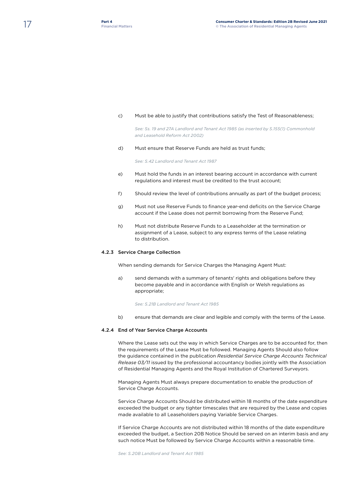#### c) Must be able to justify that contributions satisfy the Test of Reasonableness;

*See: Ss. 19 and 27A Landlord and Tenant Act 1985 (as inserted by S.155(1) Commonhold and Leasehold Reform Act 2002)*

#### d) Must ensure that Reserve Funds are held as trust funds;

*See: S.42 Landlord and Tenant Act 1987*

- e) Must hold the funds in an interest bearing account in accordance with current regulations and interest must be credited to the trust account;
- f) Should review the level of contributions annually as part of the budget process;
- g) Must not use Reserve Funds to finance year-end deficits on the Service Charge account if the Lease does not permit borrowing from the Reserve Fund;
- h) Must not distribute Reserve Funds to a Leaseholder at the termination or assignment of a Lease, subject to any express terms of the Lease relating to distribution.

## 4.2.3 Service Charge Collection

When sending demands for Service Charges the Managing Agent Must:

a) send demands with a summary of tenants' rights and obligations before they become payable and in accordance with English or Welsh regulations as appropriate;

*See: S.21B Landlord and Tenant Act 1985*

b) ensure that demands are clear and legible and comply with the terms of the Lease.

#### 4.2.4 End of Year Service Charge Accounts

Where the Lease sets out the way in which Service Charges are to be accounted for, then the requirements of the Lease Must be followed. Managing Agents Should also follow the guidance contained in the publication *Residential Service Charge Accounts Technical Release 03/11* issued by the professional accountancy bodies jointly with the Association of Residential Managing Agents and the Royal Institution of Chartered Surveyors.

Managing Agents Must always prepare documentation to enable the production of Service Charge Accounts.

Service Charge Accounts Should be distributed within 18 months of the date expenditure exceeded the budget or any tighter timescales that are required by the Lease and copies made available to all Leaseholders paying Variable Service Charges.

If Service Charge Accounts are not distributed within 18 months of the date expenditure exceeded the budget, a Section 20B Notice Should be served on an interim basis and any such notice Must be followed by Service Charge Accounts within a reasonable time.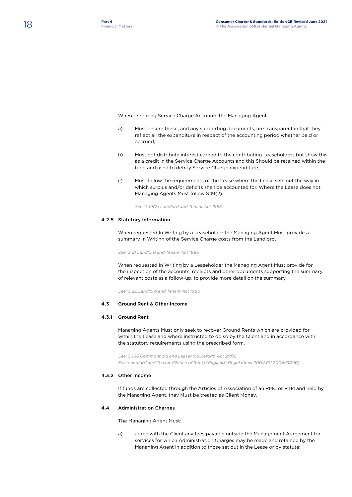When preparing Service Charge Accounts the Managing Agent:

- a) Must ensure these, and any supporting documents, are transparent in that they reflect all the expenditure in respect of the accounting period whether paid or accrued;
- b) Must not distribute interest earned to the contributing Leaseholders but show this as a credit in the Service Charge Accounts and this Should be retained within the fund and used to defray Service Charge expenditure;
- c) Must follow the requirements of the Lease where the Lease sets out the way in which surplus and/or deficits shall be accounted for. Where the Lease does not, Managing Agents Must follow S.19(2).

*See: S.19(2) Landlord and Tenant Act 1985*

## 4.2.5 Statutory Information

When requested In Writing by a Leaseholder the Managing Agent Must provide a summary In Writing of the Service Charge costs from the Landlord.

*See: S.21 Landlord and Tenant Act 1985*

When requested In Writing by a Leaseholder the Managing Agent Must provide for the inspection of the accounts, receipts and other documents supporting the summary of relevant costs as a follow-up, to provide more detail on the summary.

*See: S.22 Landlord and Tenant Act 1985*

## 4.3 Ground Rent & Other Income

## 4.3.1 Ground Rent

Managing Agents Must only seek to recover Ground Rents which are provided for within the Lease and where instructed to do so by the Client and in accordance with the statutory requirements using the prescribed form.

*See: S.166 Commonhold and Leasehold Reform Act 2002 See: Landlord and Tenant (Notice of Rent) (England) Regulations 2004 (SI 2004/3096)*

## 4.3.2 Other Income

If funds are collected through the Articles of Association of an RMC or RTM and held by the Managing Agent, they Must be treated as Client Money.

## 4.4 Administration Charges

The Managing Agent Must:

a) agree with the Client any fees payable outside the Management Agreement for services for which Administration Charges may be made and retained by the Managing Agent in addition to those set out in the Lease or by statute;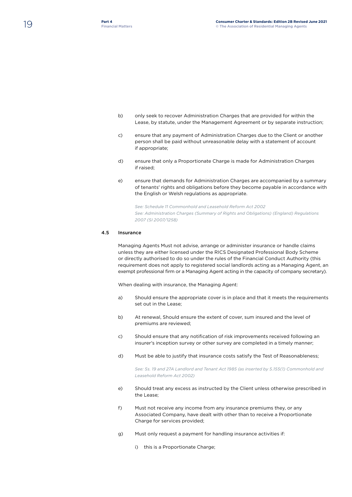- b) only seek to recover Administration Charges that are provided for within the Lease, by statute, under the Management Agreement or by separate instruction;
- c) ensure that any payment of Administration Charges due to the Client or another person shall be paid without unreasonable delay with a statement of account if appropriate;
- d) ensure that only a Proportionate Charge is made for Administration Charges if raised;
- e) ensure that demands for Administration Charges are accompanied by a summary of tenants' rights and obligations before they become payable in accordance with the English or Welsh regulations as appropriate.

*See: Schedule 11 Commonhold and Leasehold Reform Act 2002 See: Administration Charges (Summary of Rights and Obligations) (England) Regulations 2007 (SI 2007/1258)*

## 4.5 Insurance

Managing Agents Must not advise, arrange or administer insurance or handle claims unless they are either licensed under the RICS Designated Professional Body Scheme or directly authorised to do so under the rules of the Financial Conduct Authority (this requirement does not apply to registered social landlords acting as a Managing Agent, an exempt professional firm or a Managing Agent acting in the capacity of company secretary).

When dealing with insurance, the Managing Agent:

- a) Should ensure the appropriate cover is in place and that it meets the requirements set out in the Lease;
- b) At renewal, Should ensure the extent of cover, sum insured and the level of premiums are reviewed;
- c) Should ensure that any notification of risk improvements received following an insurer's inception survey or other survey are completed in a timely manner;
- d) Must be able to justify that insurance costs satisfy the Test of Reasonableness;

*See: Ss. 19 and 27A Landlord and Tenant Act 1985 (as inserted by S.155(1) Commonhold and Leasehold Reform Act 2002)*

- e) Should treat any excess as instructed by the Client unless otherwise prescribed in the Lease;
- f) Must not receive any income from any insurance premiums they, or any Associated Company, have dealt with other than to receive a Proportionate Charge for services provided;
- g) Must only request a payment for handling insurance activities if:
	- i) this is a Proportionate Charge;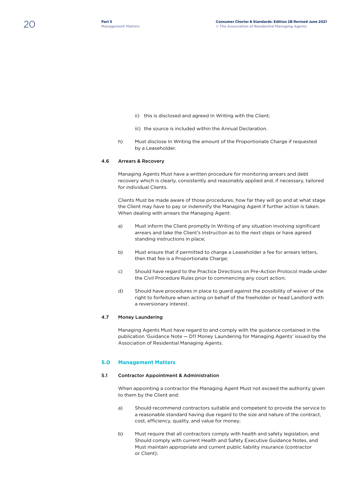- ii) this is disclosed and agreed In Writing with the Client;
- iii) the source is included within the Annual Declaration.
- h) Must disclose In Writing the amount of the Proportionate Charge if requested by a Leaseholder.

## 4.6 Arrears & Recovery

Managing Agents Must have a written procedure for monitoring arrears and debt recovery which is clearly, consistently and reasonably applied and, if necessary, tailored for individual Clients.

Clients Must be made aware of those procedures, how far they will go and at what stage the Client may have to pay or indemnify the Managing Agent if further action is taken. When dealing with arrears the Managing Agent:

- a) Must inform the Client promptly In Writing of any situation involving significant arrears and take the Client's Instruction as to the next steps or have agreed standing instructions in place;
- b) Must ensure that if permitted to charge a Leaseholder a fee for arrears letters, then that fee is a Proportionate Charge;
- c) Should have regard to the Practice Directions on Pre-Action Protocol made under the Civil Procedure Rules prior to commencing any court action;
- d) Should have procedures in place to guard against the possibility of waiver of the right to forfeiture when acting on behalf of the freeholder or head Landlord with a reversionary interest.

## 4.7 Money Laundering

Managing Agents Must have regard to and comply with the guidance contained in the publication 'Guidance Note — D11 Money Laundering for Managing Agents' issued by the Association of Residential Managing Agents.

## **5.0 Management Matters**

## 5.1 Contractor Appointment & Administration

When appointing a contractor the Managing Agent Must not exceed the authority given to them by the Client and:

- a) Should recommend contractors suitable and competent to provide the service to a reasonable standard having due regard to the size and nature of the contract, cost, efficiency, quality, and value for money;
- b) Must require that all contractors comply with health and safety legislation, and Should comply with current Health and Safety Executive Guidance Notes, and Must maintain appropriate and current public liability insurance (contractor or Client);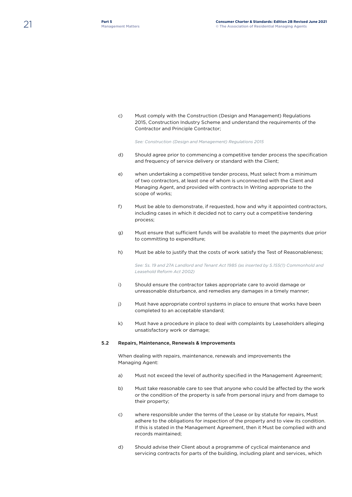c) Must comply with the Construction (Design and Management) Regulations 2015, Construction Industry Scheme and understand the requirements of the Contractor and Principle Contractor;

*See: Construction (Design and Management) Regulations 2015*

- d) Should agree prior to commencing a competitive tender process the specification and frequency of service delivery or standard with the Client;
- e) when undertaking a competitive tender process, Must select from a minimum of two contractors, at least one of whom is unconnected with the Client and Managing Agent, and provided with contracts In Writing appropriate to the scope of works;
- f) Must be able to demonstrate, if requested, how and why it appointed contractors, including cases in which it decided not to carry out a competitive tendering process;
- g) Must ensure that sufficient funds will be available to meet the payments due prior to committing to expenditure;
- h) Must be able to justify that the costs of work satisfy the Test of Reasonableness;

*See: Ss. 19 and 27A Landlord and Tenant Act 1985 (as inserted by S.155(1) Commonhold and Leasehold Reform Act 2002)*

- i) Should ensure the contractor takes appropriate care to avoid damage or unreasonable disturbance, and remedies any damages in a timely manner;
- j) Must have appropriate control systems in place to ensure that works have been completed to an acceptable standard;
- k) Must have a procedure in place to deal with complaints by Leaseholders alleging unsatisfactory work or damage;

#### 5.2 Repairs, Maintenance, Renewals & Improvements

When dealing with repairs, maintenance, renewals and improvements the Managing Agent:

- a) Must not exceed the level of authority specified in the Management Agreement;
- b) Must take reasonable care to see that anyone who could be affected by the work or the condition of the property is safe from personal injury and from damage to their property;
- c) where responsible under the terms of the Lease or by statute for repairs, Must adhere to the obligations for inspection of the property and to view its condition. If this is stated in the Management Agreement, then it Must be complied with and records maintained;
- d) Should advise their Client about a programme of cyclical maintenance and servicing contracts for parts of the building, including plant and services, which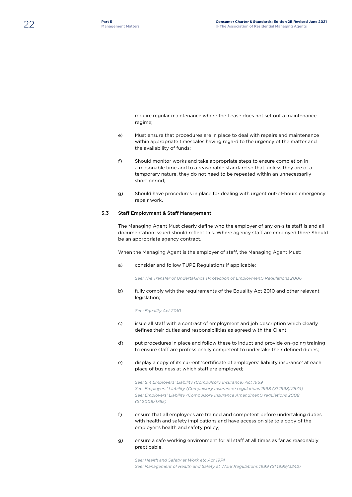require regular maintenance where the Lease does not set out a maintenance regime;

- e) Must ensure that procedures are in place to deal with repairs and maintenance within appropriate timescales having regard to the urgency of the matter and the availability of funds;
- f) Should monitor works and take appropriate steps to ensure completion in a reasonable time and to a reasonable standard so that, unless they are of a temporary nature, they do not need to be repeated within an unnecessarily short period;
- g) Should have procedures in place for dealing with urgent out-of-hours emergency repair work.

## 5.3 Staff Employment & Staff Management

The Managing Agent Must clearly define who the employer of any on-site staff is and all documentation issued should reflect this. Where agency staff are employed there Should be an appropriate agency contract.

When the Managing Agent is the employer of staff, the Managing Agent Must:

a) consider and follow TUPE Regulations if applicable;

*See: The Transfer of Undertakings (Protection of Employment) Regulations 2006*

b) fully comply with the requirements of the Equality Act 2010 and other relevant legislation;

*See: Equality Act 2010*

- c) issue all staff with a contract of employment and job description which clearly defines their duties and responsibilities as agreed with the Client;
- d) put procedures in place and follow these to induct and provide on-going training to ensure staff are professionally competent to undertake their defined duties;
- e) display a copy of its current 'certificate of employers' liability insurance' at each place of business at which staff are employed;

*See: S.4 Employers' Liability (Compulsory Insurance) Act 1969 See: Employers' Liability (Compulsory Insurance) regulations 1998 (SI 1998/2573) See: Employers' Liability (Compulsory Insurance Amendment) regulations 2008 (SI 2008/1765)*

- f) ensure that all employees are trained and competent before undertaking duties with health and safety implications and have access on site to a copy of the employer's health and safety policy;
- g) ensure a safe working environment for all staff at all times as far as reasonably practicable.

*See: Health and Safety at Work etc Act 1974 See: Management of Health and Safety at Work Regulations 1999 (SI 1999/3242)*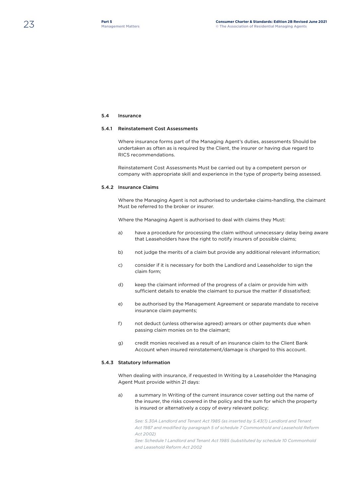## 5.4 Insurance

#### 5.4.1 Reinstatement Cost Assessments

Where insurance forms part of the Managing Agent's duties, assessments Should be undertaken as often as is required by the Client, the insurer or having due regard to RICS recommendations.

Reinstatement Cost Assessments Must be carried out by a competent person or company with appropriate skill and experience in the type of property being assessed.

## 5.4.2 Insurance Claims

Where the Managing Agent is not authorised to undertake claims-handling, the claimant Must be referred to the broker or insurer.

Where the Managing Agent is authorised to deal with claims they Must:

- a) have a procedure for processing the claim without unnecessary delay being aware that Leaseholders have the right to notify insurers of possible claims;
- b) not judge the merits of a claim but provide any additional relevant information;
- c) consider if it is necessary for both the Landlord and Leaseholder to sign the claim form;
- d) keep the claimant informed of the progress of a claim or provide him with sufficient details to enable the claimant to pursue the matter if dissatisfied;
- e) be authorised by the Management Agreement or separate mandate to receive insurance claim payments;
- f) not deduct (unless otherwise agreed) arrears or other payments due when passing claim monies on to the claimant;
- g) credit monies received as a result of an insurance claim to the Client Bank Account when insured reinstatement/damage is charged to this account.

#### 5.4.3 Statutory Information

When dealing with insurance, if requested In Writing by a Leaseholder the Managing Agent Must provide within 21 days:

a) a summary In Writing of the current insurance cover setting out the name of the insurer, the risks covered in the policy and the sum for which the property is insured or alternatively a copy of every relevant policy;

See: S.30A Landlord and Tenant Act 1985 (as inserted by S.43(1) Landlord and Tenant *Act 1987 and modified by paragraph 5 of schedule 7 Commonhold and Leasehold Reform Act 2002)*

*See: Schedule 1 Landlord and Tenant Act 1985 (substituted by schedule 10 Commonhold and Leasehold Reform Act 2002*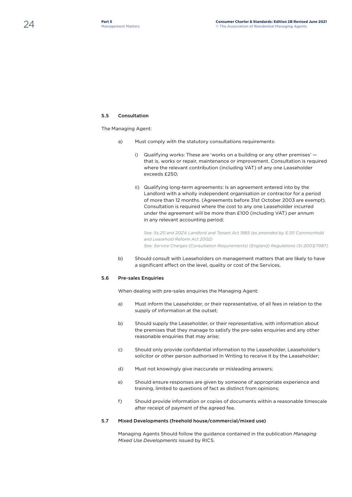## 5.5 Consultation

The Managing Agent:

- a) Must comply with the statutory consultations requirements:
	- i) Qualifying works: These are 'works on a building or any other premises' that is, works or repair, maintenance or improvement. Consultation is required where the relevant contribution (including VAT) of any one Leaseholder exceeds £250;
	- ii) Qualifying long-term agreements: Is an agreement entered into by the Landlord with a wholly independent organisation or contractor for a period of more than 12 months. (Agreements before 31st October 2003 are exempt). Consultation is required where the cost to any one Leaseholder incurred under the agreement will be more than £100 (including VAT) per annum in any relevant accounting period;

 *See: Ss.20 and 20ZA Landlord and Tenant Act 1985 (as amended by S.151 Commonhold and Leasehold Reform Act 2002) See: Service Charges (Consultation Requirements) (England) Regulations (SI 2003/1987)*

b) Should consult with Leaseholders on management matters that are likely to have a significant effect on the level, quality or cost of the Services.

#### 5.6 Pre-sales Enquiries

When dealing with pre-sales enquiries the Managing Agent:

- a) Must inform the Leaseholder, or their representative, of all fees in relation to the supply of information at the outset;
- b) Should supply the Leaseholder, or their representative, with information about the premises that they manage to satisfy the pre-sales enquiries and any other reasonable enquiries that may arise;
- c) Should only provide confidential information to the Leaseholder, Leaseholder's solicitor or other person authorised In Writing to receive it by the Leaseholder;
- d) Must not knowingly give inaccurate or misleading answers;
- e) Should ensure responses are given by someone of appropriate experience and training, limited to questions of fact as distinct from opinions;
- f) Should provide information or copies of documents within a reasonable timescale after receipt of payment of the agreed fee.

## 5.7 Mixed Developments (freehold house/commercial/mixed use)

Managing Agents Should follow the guidance contained in the publication *Managing Mixed Use Developments* issued by RICS.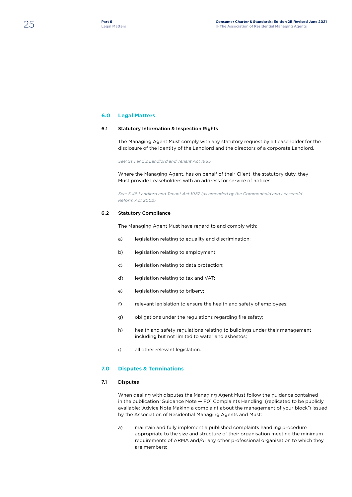## **6.0 Legal Matters**

## 6.1 Statutory Information & Inspection Rights

The Managing Agent Must comply with any statutory request by a Leaseholder for the disclosure of the identity of the Landlord and the directors of a corporate Landlord.

*See: Ss.1 and 2 Landlord and Tenant Act 1985* 

Where the Managing Agent, has on behalf of their Client, the statutory duty, they Must provide Leaseholders with an address for service of notices.

*See: S.48 Landlord and Tenant Act 1987 (as amended by the Commonhold and Leasehold Reform Act 2002)*

## 6.2 Statutory Compliance

The Managing Agent Must have regard to and comply with:

- a) legislation relating to equality and discrimination;
- b) legislation relating to employment;
- c) legislation relating to data protection;
- d) legislation relating to tax and VAT:
- e) legislation relating to bribery;
- f) relevant legislation to ensure the health and safety of employees;
- g) obligations under the regulations regarding fire safety;
- h) health and safety regulations relating to buildings under their management including but not limited to water and asbestos;
- i) all other relevant legislation.

## **7.0 Disputes & Terminations**

## 7.1 Disputes

When dealing with disputes the Managing Agent Must follow the guidance contained in the publication 'Guidance Note — F01 Complaints Handling' (replicated to be publicly available: 'Advice Note Making a complaint about the management of your block') issued by the Association of Residential Managing Agents and Must:

a) maintain and fully implement a published complaints handling procedure appropriate to the size and structure of their organisation meeting the minimum requirements of ARMA and/or any other professional organisation to which they are members;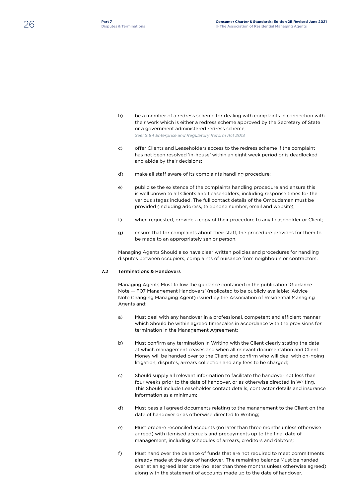- b) be a member of a redress scheme for dealing with complaints in connection with their work which is either a redress scheme approved by the Secretary of State or a government administered redress scheme; *See: S.84 Enterprise and Regulatory Reform Act 2013*
- c) offer Clients and Leaseholders access to the redress scheme if the complaint has not been resolved 'in-house' within an eight week period or is deadlocked and abide by their decisions;
- d) make all staff aware of its complaints handling procedure;
- e) publicise the existence of the complaints handling procedure and ensure this is well known to all Clients and Leaseholders, including response times for the various stages included. The full contact details of the Ombudsman must be provided (including address, telephone number, email and website);
- f) when requested, provide a copy of their procedure to any Leaseholder or Client;
- g) ensure that for complaints about their staff, the procedure provides for them to be made to an appropriately senior person.

Managing Agents Should also have clear written policies and procedures for handling disputes between occupiers, complaints of nuisance from neighbours or contractors.

## 7.2 Terminations & Handovers

Managing Agents Must follow the guidance contained in the publication 'Guidance Note — F07 Management Handovers' (replicated to be publicly available: 'Advice Note Changing Managing Agent) issued by the Association of Residential Managing Agents and:

- a) Must deal with any handover in a professional, competent and efficient manner which Should be within agreed timescales in accordance with the provisions for termination in the Management Agreement;
- b) Must confirm any termination In Writing with the Client clearly stating the date at which management ceases and when all relevant documentation and Client Money will be handed over to the Client and confirm who will deal with on-going litigation, disputes, arrears collection and any fees to be charged;
- c) Should supply all relevant information to facilitate the handover not less than four weeks prior to the date of handover, or as otherwise directed In Writing. This Should include Leaseholder contact details, contractor details and insurance information as a minimum;
- d) Must pass all agreed documents relating to the management to the Client on the date of handover or as otherwise directed In Writing;
- e) Must prepare reconciled accounts (no later than three months unless otherwise agreed) with itemised accruals and prepayments up to the final date of management, including schedules of arrears, creditors and debtors;
- f) Must hand over the balance of funds that are not required to meet commitments already made at the date of handover. The remaining balance Must be handed over at an agreed later date (no later than three months unless otherwise agreed) along with the statement of accounts made up to the date of handover.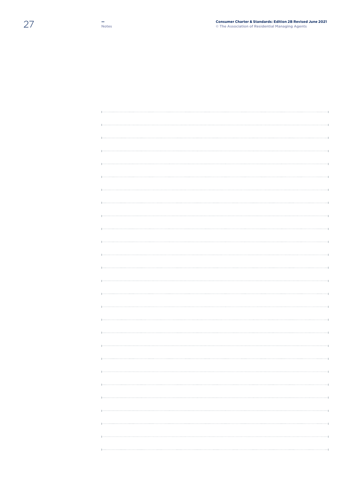| ,,,,,,,,,,,,,,,,,,,,,, |
|------------------------|
|                        |
|                        |
|                        |
|                        |
|                        |
|                        |